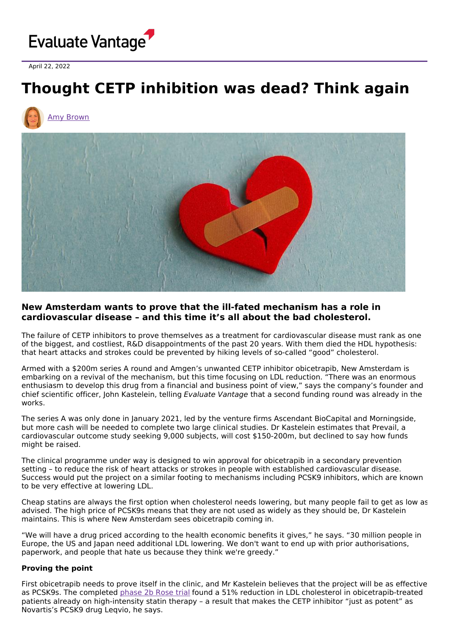

April 22, 2022

# **Thought CETP inhibition was dead? Think again**





## **New Amsterdam wants to prove that the ill-fated mechanism has a role in cardiovascular disease – and this time it's all about the bad cholesterol.**

The failure of CETP inhibitors to prove themselves as a treatment for cardiovascular disease must rank as one of the biggest, and costliest, R&D disappointments of the past 20 years. With them died the HDL hypothesis: that heart attacks and strokes could be prevented by hiking levels of so-called "good" cholesterol.

Armed with a \$200m series A round and Amgen's unwanted CETP inhibitor obicetrapib, New Amsterdam is embarking on a revival of the mechanism, but this time focusing on LDL reduction. "There was an enormous enthusiasm to develop this drug from a financial and business point of view," says the company's founder and chief scientific officer, John Kastelein, telling Evaluate Vantage that a second funding round was already in the works.

The series A was only done in January 2021, led by the venture firms Ascendant BioCapital and Morningside, but more cash will be needed to complete two large clinical studies. Dr Kastelein estimates that Prevail, a cardiovascular outcome study seeking 9,000 subjects, will cost \$150-200m, but declined to say how funds might be raised.

The clinical programme under way is designed to win approval for obicetrapib in a secondary prevention setting – to reduce the risk of heart attacks or strokes in people with established cardiovascular disease. Success would put the project on a similar footing to mechanisms including PCSK9 inhibitors, which are known to be very effective at lowering LDL.

Cheap statins are always the first option when cholesterol needs lowering, but many people fail to get as low as advised. The high price of PCSK9s means that they are not used as widely as they should be, Dr Kastelein maintains. This is where New Amsterdam sees obicetrapib coming in.

"We will have a drug priced according to the health economic benefits it gives," he says. "30 million people in Europe, the US and Japan need additional LDL lowering. We don't want to end up with prior authorisations, paperwork, and people that hate us because they think we're greedy."

### **Proving the point**

First obicetrapib needs to prove itself in the clinic, and Mr Kastelein believes that the project will be as effective as PCSK9s. The completed [phase](https://clinicaltrials.gov/ct2/show/NCT04753606) 2b Rose trial found a 51% reduction in LDL cholesterol in obicetrapib-treated patients already on high-intensity statin therapy – a result that makes the CETP inhibitor "just as potent" as Novartis's PCSK9 drug Leqvio, he says.